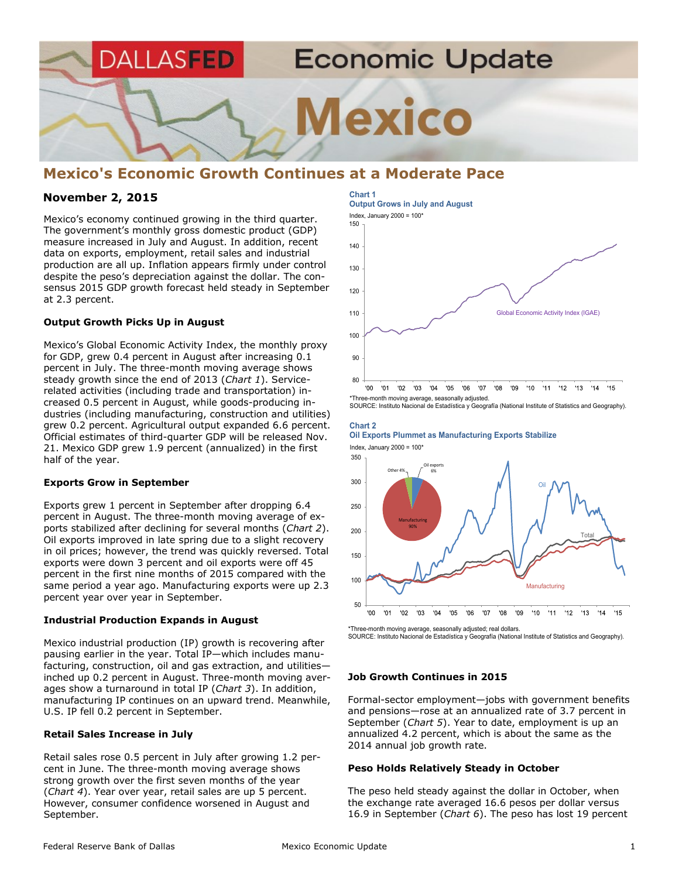

# **Mexico's Economic Growth Continues at a Moderate Pace**

# **November 2, 2015**

Mexico's economy continued growing in the third quarter. The government's monthly gross domestic product (GDP) measure increased in July and August. In addition, recent data on exports, employment, retail sales and industrial production are all up. Inflation appears firmly under control despite the peso's depreciation against the dollar. The consensus 2015 GDP growth forecast held steady in September at 2.3 percent.

# **Output Growth Picks Up in August**

Mexico's Global Economic Activity Index, the monthly proxy for GDP, grew 0.4 percent in August after increasing 0.1 percent in July. The three-month moving average shows steady growth since the end of 2013 (*Chart 1*). Servicerelated activities (including trade and transportation) increased 0.5 percent in August, while goods-producing industries (including manufacturing, construction and utilities) grew 0.2 percent. Agricultural output expanded 6.6 percent. Official estimates of third-quarter GDP will be released Nov. 21. Mexico GDP grew 1.9 percent (annualized) in the first half of the year.

# **Exports Grow in September**

Exports grew 1 percent in September after dropping 6.4 percent in August. The three-month moving average of exports stabilized after declining for several months (*Chart 2*). Oil exports improved in late spring due to a slight recovery in oil prices; however, the trend was quickly reversed. Total exports were down 3 percent and oil exports were off 45 percent in the first nine months of 2015 compared with the same period a year ago. Manufacturing exports were up 2.3 percent year over year in September.

# **Industrial Production Expands in August**

Mexico industrial production (IP) growth is recovering after pausing earlier in the year. Total IP—which includes manufacturing, construction, oil and gas extraction, and utilities inched up 0.2 percent in August. Three-month moving averages show a turnaround in total IP (*Chart 3*). In addition, manufacturing IP continues on an upward trend. Meanwhile, U.S. IP fell 0.2 percent in September.

# **Retail Sales Increase in July**

Retail sales rose 0.5 percent in July after growing 1.2 percent in June. The three-month moving average shows strong growth over the first seven months of the year (*Chart 4*). Year over year, retail sales are up 5 percent. However, consumer confidence worsened in August and September.

# **Chart 1 Output Grows in July and August** Index, January 2000 = 100\*



\*Three-month moving average, seasonally adjusted. SOURCE: Instituto Nacional de Estadística y Geografía (National Institute of Statistics and Geography).

#### **Chart 2 Oil Exports Plummet as Manufacturing Exports Stabilize**

Index, January 2000 =  $100*$ 



\*Three-month moving average, seasonally adjusted; real dollars.

SOURCE: Instituto Nacional de Estadística y Geografía (National Institute of Statistics and Geography).

# **Job Growth Continues in 2015**

Formal-sector employment—jobs with government benefits and pensions—rose at an annualized rate of 3.7 percent in September (*Chart 5*). Year to date, employment is up an annualized 4.2 percent, which is about the same as the 2014 annual job growth rate.

# **Peso Holds Relatively Steady in October**

The peso held steady against the dollar in October, when the exchange rate averaged 16.6 pesos per dollar versus 16.9 in September (*Chart 6*). The peso has lost 19 percent